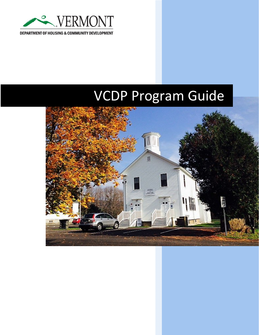

DEPARTMENT OF HOUSING & COMMUNITY DEVELOPMENT

# VCDP Program Guide

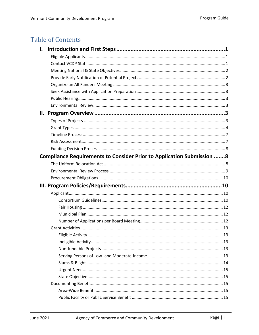# **Table of Contents**

| I. |                                                                              |
|----|------------------------------------------------------------------------------|
|    |                                                                              |
|    |                                                                              |
|    |                                                                              |
|    |                                                                              |
|    |                                                                              |
|    |                                                                              |
|    |                                                                              |
|    |                                                                              |
|    |                                                                              |
|    |                                                                              |
|    |                                                                              |
|    |                                                                              |
|    |                                                                              |
|    |                                                                              |
|    | <b>Compliance Requirements to Consider Prior to Application Submission 8</b> |
|    |                                                                              |
|    |                                                                              |
|    |                                                                              |
|    |                                                                              |
|    |                                                                              |
|    |                                                                              |
|    |                                                                              |
|    |                                                                              |
|    |                                                                              |
|    |                                                                              |
|    |                                                                              |
|    |                                                                              |
|    |                                                                              |
|    |                                                                              |
|    |                                                                              |
|    |                                                                              |
|    |                                                                              |
|    |                                                                              |
|    |                                                                              |
|    |                                                                              |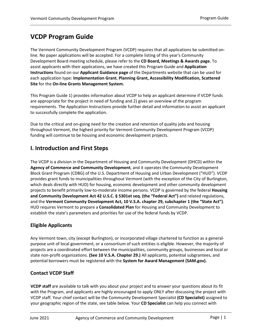## **VCDP Program Guide**

The Vermont Community Development Program (VCDP) requires that all applications be submitted online. No paper applications will be accepted. For a complete listing of this year's Community Development Board meeting schedule, please refer to the **[CD Board, Meetings & Awards page.](http://accd.vermont.gov/community-development/funding-incentives/vcdp/board)** To assist applicants with their applications, we have created this Program Guide and **[Application](http://accd.vermont.gov/community-development/funding-incentives/vcdp/applicant-guidance)  [Instructions](http://accd.vermont.gov/community-development/funding-incentives/vcdp/applicant-guidance)** found on our **[Applicant Guidance page](http://accd.vermont.gov/community-development/funding-incentives/vcdp/applicant-guidance)** of the Departments website that can be used for each application type: **[Implementation Grant](https://accd.vermont.gov/sites/accdnew/files/documents/CD-VCDP-Implementation-Grant-Instructions.pdf)**, **[Planning Grant,](https://accd.vermont.gov/sites/accdnew/files/documents/CD-VCDP-Planning-Grant-Instructions.pdf) [Accessibility Modification,](https://accd.vermont.gov/sites/accdnew/files/documents/CD-VCDP-Accessibility-Modification-Grant-Instructions.pdf) [Scattered](https://accd.vermont.gov/sites/accdnew/files/documents/CD-VCDP-Scattered-Site-Instructions.pdf)  [Site](https://accd.vermont.gov/sites/accdnew/files/documents/CD-VCDP-Scattered-Site-Instructions.pdf)** for the **[On-line Grants Management System.](https://egrants.vermont.gov/)**

This Program Guide 1) provides information about VCDP to help an applicant determine if VCDP funds are appropriate for the project in need of funding and 2) gives an overview of the program requirements. The Application Instructions provide further detail and information to assist an applicant to successfully complete the application.

Due to the critical and on-going need for the creation and retention of quality jobs and housing throughout Vermont, the highest priority for Vermont Community Development Program (VCDP) funding will continue to be housing and economic development projects.

## <span id="page-3-0"></span>**I. Introduction and First Steps**

The VCDP is a division in the Department of Housing and Community Development (DHCD) within the **[Agency of Commerce and Community Development](http://accd.vermont.gov/)**, and it operates the Community Development Block Grant Program (CDBG) of the U.S. Department of Housing and Urban Development ("HUD"). VCDP provides grant funds to municipalities throughout Vermont (with the exception of the City of Burlington, which deals directly with HUD) for housing, economic development and other community development projects to benefit primarily low-to-moderate income persons. VCDP is governed by the federal **[Housing](https://www.law.cornell.edu/uscode/text/42/5301)  [and Community Development Act 42 U.S.C. § 5301et seq. \(the "Federal Act"\)](https://www.law.cornell.edu/uscode/text/42/5301)** and related regulations, and the **[Vermont Community Development Act, 10 V.S.A. chapter 29, subchapter 1 \(the](http://legislature.vermont.gov/statutes/chapter/10/029) ["State Act"\)](http://legislature.vermont.gov/statutes/chapter/10/029)**. HUD requires Vermont to prepare a **[Consolidated Plan](http://accd.vermont.gov/housing/plans-data-rules/hud)** for Housing and Community Development to establish the state's parameters and priorities for use of the federal funds by VCDP.

## <span id="page-3-1"></span>**Eligible Applicants**

Any Vermont town, city (except Burlington), or incorporated village chartered to function as a generalpurpose unit of local government, or a consortium of such entities is eligible. However, the majority of projects are a coordinated effort between the municipalities, community groups, businesses and local or state non-profit organizations. **[\(See 10 V.S.A. Chapter 29.\)](http://legislature.vermont.gov/statutes/chapter/10/029)** All applicants, potential subgrantees, and potential borrowers must be registered with the **[System for Award Management \(SAM.gov\).](https://sam.gov/SAM/)**

## <span id="page-3-2"></span>**Contact VCDP Staff**

**[VCDP staff](#page-3-2)** are available to talk with you about your project and to answer your questions about its fit with the Program, and applicants are highly encouraged to apply ONLY after discussing the project with VCDP staff. Your chief contact will be the [Community Development Specialist](http://accd.vermont.gov/about_us/staff#vcdp) **[\(CD Specialist\)](#page-3-2)** assigned to your geographic region of the state, see table below. Your **[CD Specialist](#page-3-2)** can help you connect with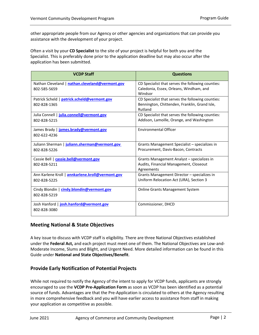other appropriate people from our Agency or other agencies and organizations that can provide you assistance with the development of your project.

Often a visit by your **[CD Specialist](#page-3-2)** to the site of your project is helpful for both you and the Specialist. This is preferably done prior to the application deadline but may also occur after the application has been submitted.

| <b>VCDP Staff</b>                                | <b>Questions</b>                                         |
|--------------------------------------------------|----------------------------------------------------------|
| Nathan Cleveland   nathan.cleveland@vermont.gov  | CD Specialist that serves the following counties:        |
| 802-585-5659                                     | Caledonia, Essex, Orleans, Windham, and<br>Windsor       |
| Patrick Scheld   patrick.scheld@vermont.gov      | CD Specialist that serves the following counties:        |
| 802-828-1365                                     | Bennington, Chittenden, Franklin, Grand Isle,<br>Rutland |
| Julia Connell   julia.connell@vermont.gov        | CD Specialist that serves the following counties:        |
| 802-828-5215                                     | Addison, Lamoille, Orange, and Washington                |
| James Brady   james.brady@vermont.gov            | <b>Environmental Officer</b>                             |
| 802-622-4236                                     |                                                          |
| Juliann Sherman   juliann.sherman@vermont.gov    | Grants Management Specialist – specializes in            |
| 802-828-5226                                     | Procurement, Davis-Bacon, Contracts                      |
| Cassie Bell   cassie.bell@vermont.gov            | Grants Management Analyst - specializes in               |
| 802-828-5211                                     | Audits, Financial Management, Closeout<br>Agreements     |
| Ann Karlene Kroll   annkarlene.kroll@vermont.gov | Grants Management Director - specializes in              |
| 802-828-5225                                     | Uniform Relocation Act (URA), Section 3                  |
| Cindy Blondin   cindy.blondin@vermont.gov        | <b>Online Grants Management System</b>                   |
| 802-828-5219                                     |                                                          |
| Josh Hanford   josh.hanford@vermont.gov          | Commissioner, DHCD                                       |
| 802-828-3080                                     |                                                          |

## <span id="page-4-0"></span>**Meeting National & State Objectives**

A key issue to discuss with VCDP staff is eligibility. There are three National Objectives established under the **[Federal Act,](https://www.law.cornell.edu/uscode/text/42/5301)** and each project must meet one of them. The National Objectives are Low-and-Moderate Income, Slums and Blight, and Urgent Need. More detailed information can be found in this Guide under **National and State Objectives/Benefit**.

## <span id="page-4-1"></span>**Provide Early Notification of Potential Projects**

While not required to notify the Agency of the intent to apply for VCDP funds, applicants are strongly encouraged to use the **[VCDP Pre-Application Form](http://accd.vermont.gov/sites/accdnew/files/documents/CD-VCDP-Pre-ApplicationFillable.pdf)** as soon as VCDP has been identified as a potential source of funds. Advantages are that the Pre-Application is circulated to others at the Agency resulting in more comprehensive feedback and you will have earlier access to assistance from staff in making your application as competitive as possible.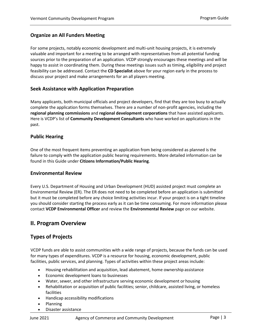## <span id="page-5-0"></span>**Organize an All Funders Meeting**

For some projects, notably economic development and multi-unit housing projects, it is extremely valuable and important for a meeting to be arranged with representatives from all potential funding sources prior to the preparation of an application. VCDP strongly encourages these meetings and will be happy to assist in coordinating them. During these meetings issues such as timing, eligibility and project feasibility can be addressed. Contact the **[CD Specialist](#page-3-2)** above for your region early in the process to discuss your project and make arrangements for an all players meeting.

## <span id="page-5-1"></span>**Seek Assistance with Application Preparation**

Many applicants, both municipal officials and project developers, find that they are too busy to actually complete the application forms themselves. There are a number of non-profit agencies, including the **[regional planning commissions](http://dec.vermont.gov/waste-management/contaminated-sites/brownfields/regional-planning-commissions)** and **[regional development corporations](http://accd.vermont.gov/economic-development/resources/rdc)** that have assisted applicants. Here is VCDP's list of **[Community Development Consultants](http://accd.vermont.gov/sites/accdnew/files/documents/CD-VCDP-Community-Development-Consultants.pdf)** who have worked on applications in the past.

## <span id="page-5-2"></span>**Public Hearing**

One of the most frequent items preventing an application from being considered as planned is the failure to comply with the application public hearing requirements. More detailed information can be found in this Guide under **[Citizens Information/Public Hearing](#page-24-1)**.

#### <span id="page-5-3"></span>**Environmental Review**

Every U.S. Department of Housing and Urban Development (HUD) assisted project must complete an Environmental Review (ER). The ER does not need to be completed before an application is submitted but it must be completed before any choice limiting activities incur. If your project is on a tight timeline you should consider starting the process early as it can be time consuming. For more information please contact **[VCDP Environmental Officer](mailto:James.Brady@vermont.gov)** and review the **[Environmental Review](http://accd.vermont.gov/community-development/funding-incentives/vcdp/env-review)** page on our website.

## <span id="page-5-4"></span>**II. Program Overview**

## <span id="page-5-5"></span>**Types of Projects**

VCDP funds are able to assist communities with a wide range of projects, because the funds can be used for many types of expenditures. VCDP is a resource for housing, economic development, public facilities, public services, and planning. Types of activities within these project areas include:

- Housing rehabilitation and acquisition, lead abatement, home ownership assistance
- Economic development loans to businesses
- Water, sewer, and other infrastructure serving economic development or housing
- Rehabilitation or acquisition of public facilities; senior, childcare, assisted living, or homeless facilities
- Handicap accessibility modifications
- Planning
- Disaster assistance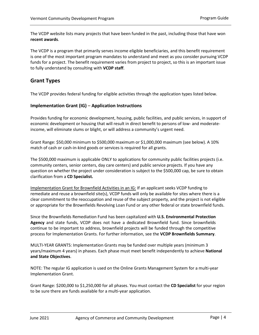The VCDP website lists many projects that have been funded in the past, including those that have won **[recent awards](http://accd.vermont.gov/community-development/funding-incentives/vcdp/board)**.

The VCDP is a program that primarily serves income eligible beneficiaries, and this benefit requirement is one of the most important program mandates to understand and meet as you consider pursuing VCDP funds for a project. The benefit requirement varies from project to project, so this is an important issue to fully understand by consulting with **[VCDP](#page-3-2) staff**.

## <span id="page-6-0"></span>**Grant Types**

The VCDP provides federal funding for eligible activities through the application types listed below.

## **Implementation Grant (IG) – [Application Instructions](https://accd.vermont.gov/sites/accdnew/files/documents/CD-VCDP-Implementation-Grant-Instructions.pdf)**

[Provides funding for economi](https://accd.vermont.gov/sites/accdnew/files/documents/CD-VCDP-Implementation-Grant-Instructions.pdf)c development, housing, public facilities, and public services, in support of economic development or housing that will result in direct benefit to persons of low- and moderateincome, will eliminate slums or blight, or will address a community's urgent need.

Grant Range: \$50,000 minimum to \$500,000 maximum or \$1,000,000 maximum (see below). A 10% match of cash or cash-in-kind goods or services is required for all grants.

The \$500,000 maximum is applicable ONLY to applications for community public facilities projects (i.e. community centers, senior centers, day care centers) and public service projects. If you have any question on whether the project under consideration is subject to the \$500,000 cap, be sure to obtain clarification from a **[CD Specialist](#page-3-2)[.](http://www.dhca.state.vt.us/Admin/OrgChart.htm#vcdp)**

Implementation Grant for Brownfield Activities in an IG: If an applicant seeks VCDP funding to remediate and reuse a brownfield site(s), VCDP funds will only be available for sites where there is a clear commitment to the reoccupation and reuse of the subject property, and the project is not eligible or appropriate for the Brownfields Revolving Loan Fund or any other federal or state brownfield funds.

Since the Brownfields Remediation Fund has been capitalized with **[U.S. Environmental Protection](https://www.epa.gov/)  [Agency](https://www.epa.gov/)** and state funds, VCDP does not have a dedicated Brownfield fund. Since brownfields continue to be important to address, brownfield projects will be funded through the competitive process for Implementation Grants. For further information, see the **[VCDP Brownfields Summary](http://accd.vermont.gov/economic-development/funding-incentives/brownfields-initiative)**.

MULTI-YEAR GRANTS: Implementation Grants may be funded over multiple years (minimum 3 years/maximum 4 years) in phases. Each phase must meet benefit independently to achieve **National and State Objectives**.

NOTE: The regular IG application is used on the Online Grants Management System for a multi-year Implementation Grant.

Grant Range: \$200,000 to \$1,250,000 for all phases. You must contact the **[CD Specialist](#page-3-2)** for your region to be sure there are funds available for a multi-year application.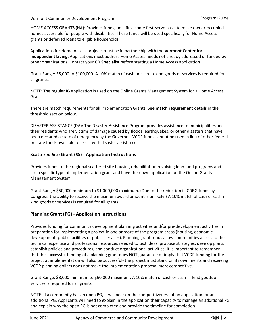HOME ACCESS GRANTS (HA): Provides funds, on a first-come first-serve basis to make owner-occupied homes accessible for people with disabilities. These funds will be used specifically for Home Access grants or deferred loans to eligible households.

Applications for Home Access projects must be in partnership with the **[Vermont Center for](http://www.vcil.org/)  [Independent Living.](http://www.vcil.org/)** Applications must address Home Access needs not already addressed or funded by other organizations. Contact your **[CD Specialist](#page-3-2)** before starting a Home Access application.

Grant Range: \$5,000 to \$100,000. A 10% match of cash or cash-in-kind goods or services is required for all grants.

NOTE: The regular IG application is used on the Online Grants Management System for a Home Access Grant.

There are match requirements for all Implementation Grants: See **[match requirement](#page-26-0)** details in the threshold section below.

DISASTER ASSISTANCE (DA): The Disaster Assistance Program provides assistance to municipalities and their residents who are victims of damage caused by floods, earthquakes, or other disasters that have been declared a state of emergency by the Governor. VCDP funds cannot be used in lieu of other federal or state funds available to assist with disaster assistance.

## **[Scattered Site Grant \(SS\) -](https://accd.vermont.gov/sites/accdnew/files/documents/CD-VCDP-Scattered-Site-Instructions.pdf) Application Instructions**

Provides funds to the reg**i**onal scattered site housing rehabilitation revolving loan fund programs and are a specific type of implementation grant and have their own application on the Online Grants Management System.

Grant Range: \$50,000 minimum to \$1,000,000 maximum. (Due to the reduction in CDBG funds by Congress, the ability to receive the maximum award amount is unlikely.) A 10% match of cash or cash-inkind goods or services is required for all grants.

## **Planning Grant (PG) - [Application Instructions](https://accd.vermont.gov/sites/accdnew/files/documents/CD-VCDP-Planning-Grant-Instructions.pdf)**

Provides funding for community development planning activities and/or pre-development activities in preparation for implementing a project in one or more of the program areas (housing, economic development, public facilities or public services). Planning grant funds allow communities access to the technical expertise and professional resources needed to test ideas, propose strategies, develop plans, establish policies and procedures, and conduct organizational activities. It is important to remember that the successful funding of a planning grant does NOT guarantee or imply that VCDP funding for the project at implementation will also be successful- the project must stand on its own merits and receiving VCDP planning dollars does not make the implementation proposal more competitive.

Grant Range: \$3,000 minimum to \$60,000 maximum. A 10% match of cash or cash-in-kind goods or services is required for all grants.

NOTE: If a community has an open PG, it will bear on the competitiveness of an application for an additional PG. Applicants will need to explain in the application their capacity to manage an additional PG and explain why the open PG is not completed and provide the timeline for completion.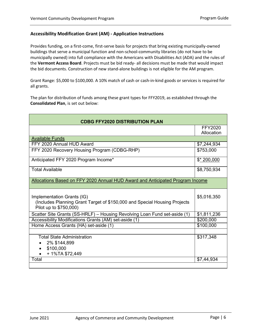## **[Accessibility Modification Grant \(AM\) -](https://accd.vermont.gov/sites/accdnew/files/documents/CD-VCDP-Accessibility-Modification-Grant-Instructions.pdf) Application Instructions**

Provides funding, on a first-come, first-serve basis for projects that bring existing municipally-owned buildings that serve a municipal function and non-school-community libraries (do not have to be municipally owned) into full compliance with the Americans with Disabilities Act (ADA) and the rules of the **[Vermont Access Board](http://governor.vermont.gov/boards_and_commissions/access)**. Projects must be bid ready- all decisions must be made that would impact the bid documents. Construction of new stand-alone buildings is not eligible for the AM program.

Grant Range: \$5,000 to \$100,000. A 10% match of cash or cash-in-kind goods or services is required for all grants.

The plan for distribution of funds among these grant types for FFY2019, as established through the **[Consolidated Plan](http://accd.vermont.gov/housing/plans-data-rules/hud)**, is set out below:

| <b>CDBG FFY2020 DISTRIBUTION PLAN</b>                                                                                             |                       |  |  |
|-----------------------------------------------------------------------------------------------------------------------------------|-----------------------|--|--|
|                                                                                                                                   | FFY2020<br>Allocation |  |  |
| <b>Available Funds</b>                                                                                                            |                       |  |  |
| FFY 2020 Annual HUD Award                                                                                                         | \$7,244,934           |  |  |
| FFY 2020 Recovery Housing Program (CDBG-RHP)                                                                                      | \$753,000             |  |  |
| Anticipated FFY 2020 Program Income*                                                                                              | $$*200,000$           |  |  |
| <b>Total Available</b>                                                                                                            | \$8,750,934           |  |  |
| Allocations Based on FFY 2020 Annual HUD Award and Anticipated Program Income                                                     |                       |  |  |
| Implementation Grants (IG)<br>(Includes Planning Grant Target of \$150,000 and Special Housing Projects<br>Pilot up to \$750,000) | \$5,016,350           |  |  |
| Scatter Site Grants (SS-HRLF) - Housing Revolving Loan Fund set-aside (1)                                                         | \$1,811,236           |  |  |
| Accessibility Modifications Grants (AM) set-aside (1)                                                                             | \$200,000             |  |  |
| Home Access Grants (HA) set-aside (1)                                                                                             | \$100,000             |  |  |
|                                                                                                                                   |                       |  |  |
| <b>Total State Administration</b><br>2% \$144,899<br>\$100,000<br>+ 1%TA \$72,449                                                 | \$317,348             |  |  |
| Total                                                                                                                             | \$7,44,934            |  |  |
|                                                                                                                                   |                       |  |  |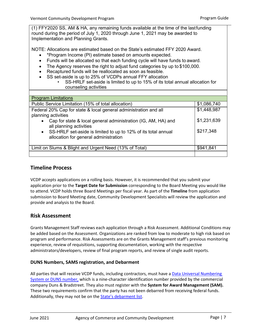(1) FFY2020 SS, AM & HA, any remaining funds available at the time of the lastfunding round during the period of July 1, 2020 through June 1, 2021 may be awarded to Implementation and Planning Grants.

NOTE: Allocations are estimated based on the State's estimated FFY 2020 Award.

- \*Program Income (PI) estimate based on amounts expected.
- Funds will be allocated so that each funding cycle will have funds to award.
- The Agency reserves the right to adjust fund categories by up to \$100,000.
- Recaptured funds will be reallocated as soon as feasible.
- SS set-aside is up to 25% of VCDPs annual FFY allocation
	- SS-HRLF set-aside is limited to up to 15% of its total annual allocation for counseling activities

| <b>Program Limitations</b>                                       |             |  |  |  |
|------------------------------------------------------------------|-------------|--|--|--|
| Public Service Limitation (15% of total allocation)              | \$1,086,740 |  |  |  |
| Federal 20% Cap for state & local general administration and all | \$1,448,987 |  |  |  |
| planning activities                                              |             |  |  |  |
| Cap for state & local general administration (IG, AM, HA) and    | \$1,231,639 |  |  |  |
| all planning activities                                          |             |  |  |  |
| • SS-HRLF set-aside is limited to up to 12% of its total annual  | \$217,348   |  |  |  |
| allocation for general administration                            |             |  |  |  |
|                                                                  |             |  |  |  |
| Limit on Slums & Blight and Urgent Need (13% of Total)           | \$941,841   |  |  |  |
|                                                                  |             |  |  |  |

## <span id="page-9-0"></span>**Timeline Process**

VCDP accepts applications on a rolling basis. However, it is recommended that you submit your application prior to the **[Target Date for Submission](https://accd.vermont.gov/community-development/funding-incentives/vcdp/applicant-guidance)** corresponding to the Board Meeting you would like to attend. VCDP holds three Board Meetings per fiscal year. As part of the **[Timeline](https://accd.vermont.gov/sites/accdnew/files/CD-VCDP-GMG-FLSandDB-Chapter.pdf)** from application submission to Board Meeting date, Community Development Specialists will review the application and provide and analysis to the Board.

## <span id="page-9-1"></span>**Risk Assessment**

Grants Management Staff reviews each application through a Risk Assessment. Additional Conditions may be added based on the Assessment. Organizations are ranked from low to moderate to high risk based on program and performance. Risk Assessments are on the Grants Management staff's previous monitoring experience, review of requisitions, supporting documentation, working with the respective administrators/developers, review of final program reports, and review of single audit reports.

#### **DUNS Numbers, SAMS registration, and Debarment**

All parties that will receive VCDP funds, including contractors, must have a Data Universal Numbering System or [DUNS number,](https://fedgov.dnb.com/webform/displayHomePage.do) which is a nine-character identification number provided by the commercial company Duns & Bradstreet. They also must register with the **[System for Award Management \(SAM\).](http://www.sam.gov/)**  These two requirements confirm that the party has not been debarred from receiving federal funds. Additionally, they may not be on th[e State's debarment list.](http://bgs.vermont.gov/purchasing-contracting/debarment)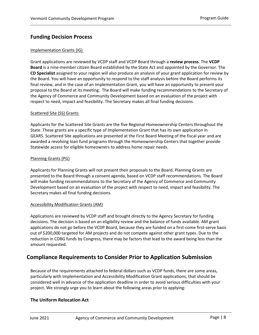## <span id="page-10-0"></span>**Funding Decision Process**

### Implementation Grants (IG)

Grant applications are reviewed by VCDP staff and VCDP Board through a **[review process](https://accd.vermont.gov/sites/accdnew/files/documents/CD-VCDP-Submission%20Timeline.pdf)**. The **[VCDP](http://accd.vermont.gov/community-development/funding-incentives/vcdp/board)  [Board](http://accd.vermont.gov/community-development/funding-incentives/vcdp/board)** is a nine-member citizen Board established by the State Act and appointed by the Governor. The **[CD Specialist](#page-3-2)** assigned to your region will also produce an analysis of your grant application for review by the Board. You will have an opportunity to respond to the staff analysis before the Board performs its final review, and in the case of an Implementation Grant, you will have an opportunity to present your proposal to the Board at its meeting. The Board will make funding recommendations to the Secretary of the Agency of Commerce and Community Development based on an evaluation of the project with respect to need, impact and feasibility. The Secretary makes all final funding decisions.

#### Scattered Site (SS) Grants

Applicants for the Scattered Site Grants are the five Regional Homeownership Centers throughout the State. These grants are a specific type of Implementation Grant that has its own application in GEARS. Scattered Site applications are presented at the First Board Meeting of the fiscal year and are awarded a revolving loan fund programs through the Homeownership Centers that together provide Statewide access for eligible homeowners to address home repair needs.

#### Planning Grants (PG)

Applicants for Planning Grants will not present their proposals to the Board. Planning Grants are presented to the Board through a consent agenda, based on VCDP staff recommendations. The Board will make funding recommendations to the Secretary of the Agency of Commerce and Community Development based on an evaluation of the project with respect to need, impact and feasibility. The Secretary makes all final funding decisions.

#### Accessibility Modification Grants (AM)

Applications are reviewed by VCDP staff and brought directly to the Agency Secretary for funding decisions. The decision is based on an eligibility review and the balance of funds available. AM grant applications do not go before the VCDP Board, because they are funded on a first-come first-serve basis out of \$200,000 targeted for AM projects and do not compete against other grant types. Due to the reduction in CDBG funds by Congress, there may be factors that lead to the award being less than the amount requested.

## <span id="page-10-1"></span>**Compliance Requirements to Consider Prior to Application Submission**

Because of the requirements attached to federal dollars such as VCDP funds, there are some areas, particularly with Implementation and Accessibility Modification Grant applications, that should be considered well in advance of the application deadline in order to avoid serious difficulties with your project. We strongly urge you to learn about the following areas prior to applying:

## <span id="page-10-2"></span>**The Uniform Relocation Act**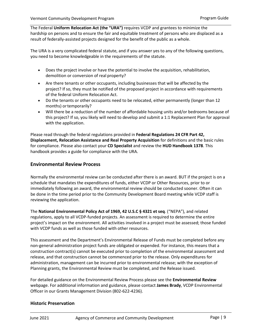The Federal **[Uniform Relocation Act \(the "URA"\)](https://www.hudexchange.info/programs/relocation/overview/#overview-of-the-ura)** requires VCDP and grantees to minimize the hardship on persons and to ensure the fair and equitable treatment of persons who are displaced as a result of federally-assisted projects designed for the benefit of the public as a whole.

The URA is a very complicated federal statute, and if you answer yes to any of the following questions, you need to become knowledgeable in the requirements of the statute.

- Does the project involve or have the potential to involve the acquisition, rehabilitation, demolition or conversion of real property?
- Are there tenants or other occupants, including businesses that will be affected by the project? If so, they must be notified of the proposed project in accordance with requirements of the federal Uniform Relocation Act.
- Do the tenants or other occupants need to be relocated, either permanently (longer than 12 months) ortemporarily?
- Will there be a reduction of the number of affordable housing units and/or bedrooms because of this project? If so, you likely will need to develop and submit a 1:1 Replacement Plan for approval with the application.

Please read through the federal regulations provided in **[Federal Regulations 24 CFR Part 42,](https://www.law.cornell.edu/cfr/text/24/570.606) [Displacement, Relocation Assistance and Real Property Acquisition](https://www.law.cornell.edu/cfr/text/24/570.606)** for definitions and the basic rules for compliance. Please also contact your **[CD Specialist](#page-3-2)** and review the **[HUD Handbook 1378](https://www.hud.gov/program_offices/administration/hudclips/handbooks/cpd/13780)**. This handbook provides a guide for compliance with the URA.

## <span id="page-11-0"></span>**Environmental Review Process**

Normally the environmental review can be conducted after there is an award. BUT if the project is on a schedule that mandates the expenditures of funds, either VCDP or Other Resources, prior to or immediately following an award, the environmental review should be conducted sooner. Often it can be done in the time period prior to the Community Development Board meeting while VCDP staff is reviewing the application.

The **[National Environmental Policy Act of 1969, 42 U.S.C § 4321 et seq](http://www4.law.cornell.edu/uscode/html/uscode42/usc_sup_01_42_10_55.html)**. ("NEPA"), and related regulations, apply to all VCDP-funded projects. An assessment is required to determine the entire project's impact on the environment. All activities involved in a project must be assessed; those funded with VCDP funds as well as those funded with other resources.

This assessment and the Department's Environmental Release of Funds must be completed before any non-general administration project funds are obligated or expended. For instance, this means that a construction contract(s) cannot be executed prior to completion of the environmental assessment and release, and that construction cannot be commenced prior to the release. Only expenditures for administration, management can be incurred prior to environmental release; with the exception of Planning grants, the Environmental Review must be completed, and the Release issued.

For detailed guidance on the Environmental Review Process please see the **[Environmental Review](http://accd.vermont.gov/community-development/funding-incentives/vcdp/env-review)** webpage. For additional information and guidance, please contact **[James Brady](mailto:James.Brady@vermont.gov)**, VCDP Environmental Officer in our Grants Management Division (802-622-4236).

#### **Historic Preservation**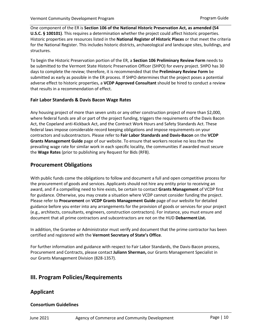One component of the ER is **[Section 106 of the National Historic Preservation Act, as amended \(54](https://www.law.cornell.edu/uscode/text/54/100101)  U.S.C. [§ 100101\)](https://www.law.cornell.edu/uscode/text/54/100101)**. This requires a determination whether the project could affect historic properties. Historic properties are resources listed in the **[National Register of Historic Places](https://www.nps.gov/subjects/nationalregister/index.htm)** or that meet the criteria for the National Register. This includes historic districts, archaeological and landscape sites, buildings, and structures.

To begin the Historic Preservation portion of the ER, a **[Section 106 Preliminary Review Form](https://www.google.com/url?sa=t&rct=j&q=&esrc=s&source=web&cd=1&ved=2ahUKEwiDzZfB4q3cAhVww1kKHcKMBh4QFjAAegQIARAC&url=http%3A%2F%2Faccd.vermont.gov%2Fsites%2Faccdnew%2Ffiles%2Fdocuments%2FCD-VCDP-ENV-HP-VCDP-Intake_0.docx&usg=AOvVaw1eTrGppwTacTHKSHtSbjhx)** needs to be submitted to the Vermont State Historic Preservation Officer (SHPO) for every project. SHPO has 30 days to complete the review; therefore, it is recommended that the **[Preliminary Review Form](http://accd.vermont.gov/community-development/funding-incentives/vcdp/env-review)** be submitted as early as possible in the ER process. If SHPO determines that the project poses a potential adverse effect to historic properties, a **[VCDP Approved Consultant](https://accd.vermont.gov/sites/accdnew/files/documents/Vermont%20Community%20Development%20Approved%20Consultants%202019-2020_1.pdf)** should be hired to conduct a review that results in a recommendation of effect.

## **Fair Labor Standards & Davis Bacon Wage Rates**

Any housing project of more than seven units or any other construction project of more than \$2,000, where federal funds are all or part of the project funding, triggers the requirements of the Davis Bacon Act, the Copeland anti-Kickback Act, and the Contract Work Hours and Safety Standards Act. These federal laws impose considerable record keeping obligations and impose requirements on your contractors and subcontractors. Please refer to **[Fair Labor Standards and Davis-Bacon](http://accd.vermont.gov/sites/accdnew/files/CD-VCDP-GMG-FLSandDB-Chapter.pdf)** on the **[VCDP](http://accd.vermont.gov/community-development/funding-incentives/vcdp/grants-management-guide)  [Grants](http://accd.vermont.gov/community-development/funding-incentives/vcdp/grants-management-guide) [Management Guide](http://accd.vermont.gov/community-development/funding-incentives/vcdp/grants-management-guide)** page of our website. To ensure that workers receive no less than the prevailing wage rate for similar work in each specific locality, the communities if awarded must secure the **[Wage](https://beta.sam.gov/help/wage-determinations) [Rates](http://www.wdol.gov/dba.aspx#0)** (prior to publishing any Request for Bids (RFB).

## <span id="page-12-0"></span>**Procurement Obligations**

With public funds come the obligations to follow and document a full and open competitive process for the procurement of goods and services. Applicants should not hire any entity prior to receiving an award, and if a compelling need to hire exists, be certain to contact **[Grants Management](#page-3-2)** of VCDP first for guidance. Otherwise, you may create a situation where VCDP cannot consider funding the project. Please refer to **[Procurement](http://accd.vermont.gov/sites/accdnew/files/CD-VCDP-GMG-Procurement-Chapter.pdf)** on **[VCDP Grants Management Guide](http://accd.vermont.gov/community-development/funding-incentives/vcdp/grants-management-guide)** page of our website for detailed guidance before you enter into any arrangements for the provision of goods or services for your project (e.g., architects, consultants, engineers, construction contractors). For instance, you must ensure and document that all prime contractors and subcontractors are not on the HUD **[Debarment](https://sam.gov/SAM/) List.**

In addition, the Grantee or Administrator must verify and document that the prime contractor has been certified and registered with the **[Vermont Secretary of State's Office](https://www.sec.state.vt.us/#corporations)**.

For further information and guidance with respect to Fair Labor Standards, the Davis-Bacon process, Procurement and Contracts, please contact **Juliann Sherman,** our Grants Management Specialist in our Grants Management Division (828-1357).

## <span id="page-12-1"></span>**III. Program Policies/Requirements**

## <span id="page-12-2"></span>**Applicant**

## <span id="page-12-3"></span>**Consortium Guidelines**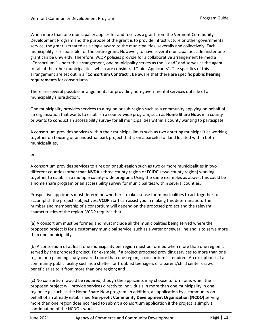When more than one municipality applies for and receives a grant from the Vermont Community Development Program and the purpose of the grant is to provide infrastructure or other governmental service, the grant is treated as a single award to the municipalities, severally and collectively. Each municipality is responsible for the entire grant. However, to have several municipalities administer one grant can be unwieldy. Therefore, VCDP policies provide for a collaborative arrangement termed a "Consortium." Under this arrangement, one municipality serves as the "Lead" and serves as the agent for all of the other municipalities, which are considered "Joint Applicants". The specifics of this arrangement are set out in a **["Consortium Contract"](http://accd.vermont.gov/sites/accdnew/files/documents/CD-VCDP-CONSORTM-Contract.doc)**. Be aware that there are specific **[public hearing](#page-24-1) [requirements](#page-24-1)** for consortiums.

There are several possible arrangements for providing non-governmental services outside of a municipality's jurisdiction:

One municipality provides services to a region or sub-region such as a community applying on behalf of an organization that wants to establish a county-wide program, such as **Home Share Now**, in a county or wants to conduct an accessibility survey for all municipalities within a county wanting to participate.

A consortium provides services within their municipal limits such as two abutting municipalities working together on housing or an industrial park project that is on a parcel(s) of land located within both municipalities,

#### or

A consortium provides services to a region or sub-region such as two or more municipalities in two different counties (other than **[NVDA](http://www.nvda.net/)**'s three county region or **[FCIDC](http://www.fcidc.com/)**'s two county region) working together to establish a multiple county-wide program. Using the same examples as above, this could be a home share program or an accessibility survey for municipalities within several counties.

Prospective applicants must determine whether it makes sense for municipalities to act together to accomplish the project's objectives. **[VCDP](#page-3-2) staff** can assist you in making this determination. The number and membership of a consortium will depend on the proposed project and the relevant characteristics of the region. VCDP requires that:

(a) A consortium must be formed and must include all the municipalities being served where the proposed project is for a customary municipal service, such as a water or sewer line and is to serve more than one municipality;

(b) A consortium of at least one municipality per region must be formed when more than one region is served by the proposed project. For example, if a project proposed providing services to more than one region or a planning study covered more than one region, a consortium is required. An exception is if a community public facility such as a shelter for troubled teenagers or a parent/child center draws beneficiaries to it from more than one region; and

(c) No consortium would be required, though the applicants may choose to form one, when the proposed project will provide services directly to individuals in more than one municipality in one region, e.g., such as the Home Share Now program. In addition, an application by a community on behalf of an already established **[Non-profit Community Development Organization \(NCDO\)](http://accd.vermont.gov/sites/accdnew/files/documents/CD-VCDP-14-CloseoutAgreement.pdf)** serving more than one region does not need to submit a consortium application if the project is simply a continuation of the NCDO's work.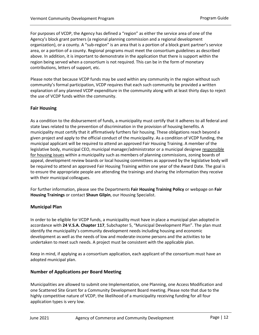For purposes of VCDP, the Agency has defined a "region" as either the service area of one of the Agency's block grant partners (a regional planning commission and a regional development organization), or a county. A "sub-region" is an area that is a portion of a block grant partner's service area, or a portion of a county. Regional programs must meet the consortium guidelines as described above. In addition, it is important to demonstrate in the application that there is support within the region being served when a consortium is not required. This can be in the form of monetary contributions, letters of support, etc.

Please note that because VCDP funds may be used within any community in the region without such community's formal participation, VCDP requires that each such community be provided a written explanation of any planned VCDP expenditure in the community along with at least thirty days to reject the use of VCDP funds within the community.

## <span id="page-14-0"></span>**Fair Housing**

As a condition to the disbursement of funds, a municipality must certify that it adheres to all federal and state laws related to the prevention of discrimination in the provision of housing benefits. A municipality must certify that it affirmatively furthers fair housing. These obligations reach beyond a given project and apply to the official conduct of the municipality. As a condition of VCDP funding, the municipal applicant will be required to attend an approved Fair Housing Training. A member of the legislative body, municipal CEO, municipal manager/administrator or a municipal designee responsible for housing issues within a municipality such as members of planning commissions, zoning boards of appeal, development review boards or local housing committees as approved by the legislative body will be required to attend an approved Fair Housing Training within one year of the Award Date. The goal is to ensure the appropriate people are attending the trainings and sharing the information they receive with their municipal colleagues.

For further information, please see the Departments **[Fair Housing Training Policy](http://accd.vermont.gov/sites/accdnew/files/documents/CD-VCDP-FairHousingTrainingPolicy.doc)** or webpage on **[Fair](http://accd.vermont.gov/housing/events) [Housing Trainings](http://accd.vermont.gov/housing/plans-data-rules/fair-housing/trainings)** or contact **[Shaun Gilpin](mailto:Shaun.Gilpin@vermont.gov)**, our Housing Specialist.

#### <span id="page-14-1"></span>**Municipal Plan**

In order to be eligible for VCDP funds, a municipality must have in place a municipal plan adopted in accordance with **[24 V.S.A. Chapter 117](http://legislature.vermont.gov/statutes/chapter/24/117)**, Subchapter 5, "Municipal Development Plan". The plan must identify the municipality's community development needs including housing and economic development as well as the needs of low and moderate-income persons and the activities to be undertaken to meet such needs. A project must be consistent with the applicable plan.

Keep in mind, if applying as a consortium application, each applicant of the consortium must have an adopted municipal plan.

#### <span id="page-14-2"></span>**Number of Applications per Board Meeting**

Municipalities are allowed to submit one Implementation, one Planning, one Access Modification and one Scattered Site Grant for a Community Development Board meeting. Please note that due to the highly competitive nature of VCDP, the likelihood of a municipality receiving funding for all four application types is very low.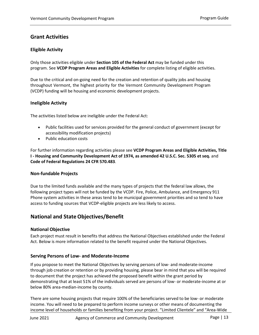## <span id="page-15-0"></span>**Grant Activities**

## <span id="page-15-1"></span>**Eligible Activity**

Only those activities eligible under **[Section 105 of the Federal Act](https://www.hud.gov/sites/documents/DOC_16364.PDF)** may be funded under this program. See **VCDP Program Areas and Eligible Activities** for complete listing of eligible activities.

Due to the critical and on-going need for the creation and retention of quality jobs and housing throughout Vermont, the highest priority for the Vermont Community Development Program (VCDP) funding will be housing and economic development projects.

## <span id="page-15-2"></span>**Ineligible Activity**

The activities listed below are ineligible under the Federal Act:

- Public facilities used for services provided for the general conduct of government (except for accessibility modification projects)
- Public education costs

For further information regarding activities please see **[VCDP Program Areas and Eligible Activities,](http://accd.vermont.gov/sites/accdnew/files/documents/CD-VCDP-VCDP-EligibleActivities.doc) [Title](https://www.law.cornell.edu/uscode/text/42/5305)  I - [Housing and Community Development Act of 1974, as amended 42 U.S.C. Sec. 5305 et seq.](https://www.law.cornell.edu/uscode/text/42/5305)** and **[Code of Federal Regulations 24 CFR 570.483](https://www.law.cornell.edu/cfr/text/24/570.483)**.

#### <span id="page-15-3"></span>**Non-fundable Projects**

Due to the limited funds available and the many types of projects that the federal law allows, the following project types will not be funded by the VCDP. Fire, Police, Ambulance, and Emergency 911 Phone system activities in these areas tend to be municipal government priorities and so tend to have access to funding sources that VCDP-eligible projects are less likely to access.

## <span id="page-15-5"></span>**National and StateObjectives/Benefit**

## **National Objective**

Each project must result in benefits that address the National Objectives established under the Federal Act. Below is more information related to the benefit required under the National Objectives.

#### <span id="page-15-4"></span>**Serving Persons of Low- and Moderate-Income**

If you propose to meet the National Objectives by serving persons of low- and moderate-income through job creation or retention or by providing housing, please bear in mind that you will be required to document that the project has achieved the proposed benefit within the grant period by demonstrating that at least 51% of the individuals served are persons of low- or moderate-income at or below 80% area-median-income by county.

There are some housing projects that require 100% of the beneficiaries served to be low- or moderate income. You will need to be prepared to perform income surveys or other means of documenting the income level of households or families benefiting from your project. "Limited Clientele" and "Area-Wide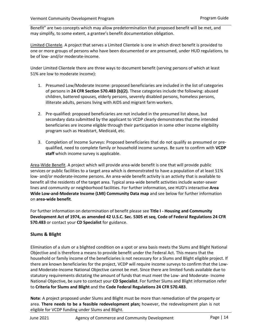Benefit" are two concepts which may allow predetermination that proposed benefit will be met, and may simplify, to some extent, a grantee's benefit documentation obligation.

Limited Clientele. A project that serves a Limited Clientele is one in which direct benefit is provided to one or more groups of persons who have been documented or are presumed, under HUD regulations, to be of low- and/or moderate-income.

Under Limited Clientele there are three ways to document benefit (serving persons of which at least 51% are low to moderate income):

- 1. Presumed Low/Moderate Income: proposed beneficiaries are included in the list of categories of persons in **[24 CFR Section 570.483 \(b\)\(2\).](https://www.law.cornell.edu/cfr/text/24/570.483)** These categories include the following: abused children, battered spouses, elderly persons, severely disabled persons, homeless persons, illiterate adults, persons living with AIDS and migrant farm workers.
- 2. Pre-qualified: proposed beneficiaries are not included in the presumed list above, but secondary data submitted by the applicant to VCDP clearly demonstrates that the intended beneficiaries are income eligible through their participation in some other income eligibility program such as Headstart, Medicaid, etc.
- 3. Completion of Income Surveys: Proposed beneficiaries that do not qualify as presumed or prequalified, need to complete family or household income surveys. Be sure to confirm with **[VCDP](#page-3-2) [staff](#page-3-2)** which income survey is applicable.

Area-Wide Benefit. A project which will provide area-wide benefit is one that will provide public services or public facilities to a target area which is demonstrated to have a population of at least 51% low- and/or moderate-income persons. An area-wide benefit activity is an activity that is available to benefit all the residents of the target area. Typical area-wide benefit activities include water-sewer lines and community or neighborhood facilities. For further information, see HUD's interactive **[Area](https://hud.maps.arcgis.com/apps/webappviewer/index.html?id=ffd0597e8af24f88b501b7e7f326bedd)  [Wide Low-and-Moderate Income \(LMI\) Community Data map](https://hud.maps.arcgis.com/apps/webappviewer/index.html?id=ffd0597e8af24f88b501b7e7f326bedd)** and see below for further information on **[area-wide benefit](https://hud.maps.arcgis.com/apps/webappviewer/index.html?id=ffd0597e8af24f88b501b7e7f326bedd)**.

For further information on determination of benefit please see **Title I - [Housing and Community](https://www.law.cornell.edu/uscode/text/42/5305)  [Development Act of 1974, as amended 42 U.S.C. Sec. 5305 et seq](https://www.law.cornell.edu/uscode/text/42/5305)**, **[Code of Federal Regulations 24 CFR](https://www.law.cornell.edu/cfr/text/24/570.483) [570.483](https://www.law.cornell.edu/cfr/text/24/570.483)** or contact your **[CD Specialist](#page-3-2)** for guidance.

## <span id="page-16-0"></span>**Slums & Blight**

Elimination of a slum or a blighted condition on a spot or area basis meets the Slums and Blight National Objective and is therefore a means to provide benefit under the Federal Act. This means that the household or family income of the beneficiaries is not necessary for a Slums and Blight eligible project. If there are known beneficiaries for the project, VCDP will require income surveys to confirm that the Lowand Moderate-Income National Objective cannot be met. Since there are limited funds available due to statutory requirements dictating the amount of funds that must meet the Low- and Moderate- Income National Objective, be sure to contact your **[CD Specialist](#page-3-2)**. For further Slums and Blight information refer to **[Criteria for Slums and Blight](http://accd.vermont.gov/sites/accdnew/files/documents/CD-VCDP-CriteriaSlumsAndBlight.doc)** and the **[Code Federal Regulations 24 CFR 570.483](https://www.law.cornell.edu/cfr/text/24/570.483)**.

**Note**: A project proposed under Slums and Blight must be more than remediation of the property or area. **There needs to be a feasible redevelopment plan;** however, the redevelopment plan is not eligible for VCDP funding under Slums and Blight.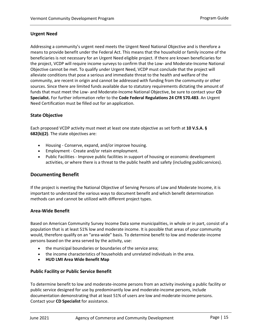## <span id="page-17-0"></span>**Urgent Need**

Addressing a community's urgent need meets the Urgent Need National Objective and is therefore a means to provide benefit under the Federal Act. This means that the household or family income of the beneficiaries is not necessary for an Urgent Need eligible project. If there are known beneficiaries for the project, VCDP will require income surveys to confirm that the Low- and Moderate-Income National Objective cannot be met. To qualify under Urgent Need, VCDP must conclude that the project will alleviate conditions that pose a serious and immediate threat to the health and welfare of the community, are recent in origin and cannot be addressed with funding from the community or other sources. Since there are limited funds available due to statutory requirements dictating the amount of funds that must meet the Low- and Moderate-Income National Objective, be sure to contact your **[CD](#page-3-2) [Specialist.](http://accd.vermont.gov/about-us/contact-us)** For further information refer to the **[Code Federal Regulations 24 CFR 570.483](https://www.law.cornell.edu/cfr/text/24/570.483)**. An Urgent Need Certification must be filled out for an application.

## <span id="page-17-1"></span>**State Objective**

Each proposed VCDP activity must meet at least one state objective as set forth at **[10 V.S.A. §](http://legislature.vermont.gov/statutes/section/10/029/00682) [682\(b\)\(2\)](http://legislature.vermont.gov/statutes/section/10/029/00682)**. The state objectives are:

- Housing Conserve, expand, and/or improve housing.
- Employment Create and/or retain employment.
- Public Facilities Improve public facilities in support of housing or economic development activities, or where there is a threat to the public health and safety (including publicservices).

## <span id="page-17-2"></span>**Documenting Benefit**

If the project is meeting the National Objective of Serving Persons of Low and Moderate Income, it is important to understand the various ways to document benefit and which benefit determination methods can and cannot be utilized with different project types.

#### <span id="page-17-3"></span>**Area-Wide Benefit**

Based on American Community Survey Income Data some municipalities, in whole or in part, consist of a population that is at least 51% low and moderate income. It is possible that areas of your community would, therefore qualify on an "area-wide" basis. To determine benefit to low and moderate-income persons based on the area served by the activity, use:

- the municipal boundaries or boundaries of the service area;
- the income characteristics of households and unrelated individuals in the area.
- **[HUD LMI Area Wide Benefit](https://hud.maps.arcgis.com/apps/webappviewer/index.html?id=ffd0597e8af24f88b501b7e7f326bedd) Map**

#### <span id="page-17-4"></span>**Public Facility or Public Service Benefit**

To determine benefit to low and moderate-income persons from an activity involving a public facility or public service designed for use by predominantly low and moderate-income persons, include documentation demonstrating that at least 51% of users are low and moderate-income persons. Contact your **[CD Specialist](#page-3-2)** for assistance.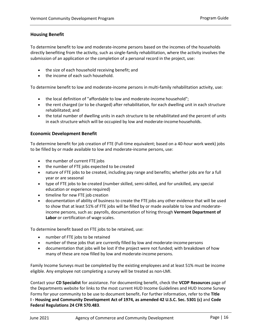### <span id="page-18-0"></span>**Housing Benefit**

To determine benefit to low and moderate-income persons based on the incomes of the households directly benefiting from the activity, such as single-family rehabilitation, where the activity involves the submission of an application or the completion of a personal record in the project, use:

- the size of each household receiving benefit; and
- the income of each such household.

To determine benefit to low and moderate-income persons in multi-family rehabilitation activity, use:

- the local definition of "affordable to low and moderate-income household";
- the rent charged (or to be charged) after rehabilitation, for each dwelling unit in each structure rehabilitated; and
- the total number of dwelling units in each structure to be rehabilitated and the percent of units in each structure which will be occupied by low and moderate-income households.

#### <span id="page-18-1"></span>**Economic Development Benefit**

To determine benefit for job creation of FTE (Full-time equivalent; based on a 40-hour work week) jobs to be filled by or made available to low and moderate-income persons, use:

- the number of current FTE jobs
- the number of FTE jobs expected to be created
- nature of FTE jobs to be created, including pay range and benefits; whether jobs are for a full year or are seasonal
- type of FTE jobs to be created (number skilled, semi-skilled, and for unskilled, any special education or experience required)
- timeline for new FTE job creation
- documentation of ability of business to create the FTE jobs any other evidence that will be used to show that at least 51% of FTE jobs will be filled by or made available to low and moderateincome persons, such as: payrolls, documentation of hiring through **[Vermont Department of](http://labor.vermont.gov/)  [Labor](http://labor.vermont.gov/)** or certification of wage scales.

To determine benefit based on FTE jobs to be retained, use:

- number of FTE jobs to be retained
- number of these jobs that are currently filled by low and moderate-income persons
- documentation that jobs will be lost if the project were not funded; with breakdown of how many of these are now filled by low and moderate-income persons.

Family Income Surveys must be completed by the existing employees and at least 51% must be income eligible. Any employee not completing a survey will be treated as non-LMI.

Contact your **[CD Specialist](#page-3-2)** for assistance. For documenting benefit, check the **[VCDP Resources](http://accd.vermont.gov/community-development/resources-rules/vcdp-resources)** page of the Departments website for links to the most current HUD Income Guidelines and HUD Income Survey Forms for your community to be use to document benefit**.** For further information, refer to the **[Title](http://www4.law.cornell.edu/uscode/html/uscode42/usc_sec_42_00005301----000-.html) I - [Housing and Community Development Act of 1974, as amended 42 U.S.C. Sec. 5301 \(c\)](https://www.law.cornell.edu/uscode/text/42/5305)** and **[Code](https://www.law.cornell.edu/cfr/text/24/570.483) [Federal Regulations 24 CFR 570.483](http://ecfr.gpoaccess.gov/cgi/t/text/text-idx?c=ecfr&sid=a900159ec15b84d8984a0032961d4f15&rgn=div5&view=text&node=24%3A3.1.1.3.4&idno=24&24%3A3.1.1.3.4.9.1.4)**.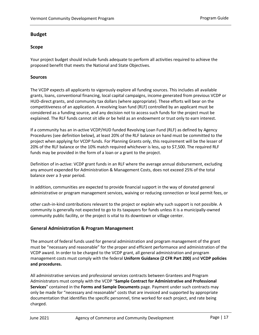## <span id="page-19-0"></span>**Budget**

## <span id="page-19-1"></span>**Scope**

Your project budget should include funds adequate to perform all activities required to achieve the proposed benefit that meets the National and State Objectives.

## <span id="page-19-2"></span>**Sources**

The VCDP expects all applicants to vigorously explore all funding sources. This includes all available grants, loans, conventional financing, local capital campaigns, income generated from previous VCDP or HUD-direct grants, and community tax dollars (where appropriate). These efforts will bear on the competitiveness of an application. A revolving loan fund (RLF) controlled by an applicant must be considered as a funding source, and any decision not to access such funds for the project must be explained. The RLF funds cannot sit idle or be held as an endowment or trust only to earn interest.

<span id="page-19-4"></span>If a community has an in-active VCDP/HUD funded Revolving Loan Fund (RLF) as defined by Agency Procedures (see definition below), at least 20% of the RLF balance on hand must be committed to the project when applying for VCDP funds. For Planning Grants only, this requirement will be the lesser of 20% of the RLF balance or the 10% match required whichever is less, up to \$7,500. The required RLF funds may be provided in the form of a loan or a grant to the project.

Definition of in-active: VCDP grant funds in an RLF where the average annual disbursement, excluding any amount expended for Administration & Management Costs, does not exceed 25% of the total balance over a 3-year period.

In addition, communities are expected to provide financial support in the way of donated general administrative or program management services, waiving or reducing connection or local permit fees, or

other cash-in-kind contributions relevant to the project or explain why such support is not possible. A community is generally not expected to go to its taxpayers for funds unless it is a municipally-owned community public facility, or the project is vital to its downtown or village center.

## <span id="page-19-3"></span>**General Administration & Program Management**

The amount of federal funds used for general administration and program management of the grant must be "necessary and reasonable" for the proper and efficient performance and administration of the VCDP award. In order to be charged to the VCDP grant, all general administration and program management costs must comply with the federal **[Uniform Guidance \(2 CFR Part 200\)](https://www.gpo.gov/fdsys/granule/CFR-2014-title2-vol1/CFR-2014-title2-vol1-part200/content-detail.html)** and **[VCDP policies](https://accd.vermont.gov/sites/accdnew/files/documents/CD-VCDP-GMG-Agency%20Procedures%20Chapter.pdf)  [and procedures.](https://accd.vermont.gov/sites/accdnew/files/documents/CD-VCDP-GMG-Agency%20Procedures%20Chapter.pdf)**

All administrative services and professional services contracts between Grantees and Program Administrators must comply with the VCDP "**[Sample Contract for Administrative and Professional](https://accd.vermont.gov/sites/accdnew/files/documents/CD-VCDP-AdminServicesProgMgmtSampleContract.doc)  [Services](https://accd.vermont.gov/sites/accdnew/files/documents/CD-VCDP-AdminServicesProgMgmtSampleContract.doc)**" contained in the **[Forms and Sample Documents](http://accd.vermont.gov/community-development/funding-incentives/vcdp/forms)** page. Payment under such contracts may only be made for "necessary and reasonable" costs that are invoiced and supported by appropriate documentation that identifies the specific personnel, time worked for each project, and rate being charged.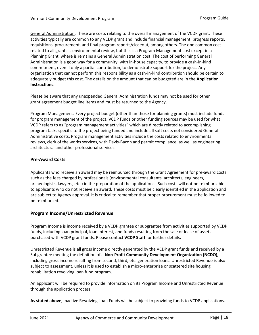General Administration. These are costs relating to the overall management of the VCDP grant. These activities typically are common to any VCDP grant and include financial management, progress reports, requisitions, procurement, and final program reports/closeout, among others. The one common cost related to all grants is environmental review, but this is a Program Management cost except in a Planning Grant, where is remains a General Administration cost. The cost of performing General Administration is a good way for a community, with in-house capacity, to provide a cash-in-kind commitment, even if only a partial contribution, to demonstrate support for the project. Any organization that cannot perform this responsibility as a cash-in-kind contribution should be certain to adequately budget this cost. The details on the amount that can be budgeted are in the **[Application](http://accd.vermont.gov/community-development/funding-incentives/vcdp/applicant-guidance) [Instructions.](http://accd.vermont.gov/community-development/funding-incentives/vcdp/applicant-guidance)**

Please be aware that any unexpended General Administration funds may not be used for other grant agreement budget line items and must be returned to the Agency.

Program Management. Every project budget (other than those for planning grants) must include funds for program management of the project. VCDP funds or other funding sources may be used for what VCDP refers to as "program management activities" which are directly related to accomplishing program tasks specific to the project being funded and include all soft costs not considered General Administrative costs. Program management activities include the costs related to environmental reviews, clerk of the works services, with Davis-Bacon and permit compliance, as well as engineering architectural and other professional services.

## <span id="page-20-0"></span>**Pre-Award Costs**

Applicants who receive an award may be reimbursed through the Grant Agreement for pre-award costs such as the fees charged by professionals (environmental consultants, architects, engineers, archeologists, lawyers, etc.) in the preparation of the applications. Such costs will not be reimbursable to applicants who do not receive an award. These costs must be clearly identified in the application and are subject to Agency approval. It is critical to remember that proper procurement must be followed to be reimbursed.

#### <span id="page-20-1"></span>**Program Income/Unrestricted Revenue**

Program Income is income received by a VCDP grantee or subgrantee from activities supported by VCDP funds, including loan principal, loan interest, and funds resulting from the sale or lease of assets purchased with VCDP grant funds. Please contact **[VCDP Staff](#page-3-2)** for further details**[.](http://www.dhca.state.vt.us/Admin/OrgChart.htm#vcdp)**

Unrestricted Revenue is all gross income directly generated by the VCDP grant funds and received by a Subgrantee meeting the definition of a **[Non-Profit Community Development Organization \(NCDO\),](http://accd.vermont.gov/sites/accdnew/files/documents/CD-VCDP-14-CloseoutAgreement.pdf)** including gross income resulting from second, third, etc. generation loans. Unrestricted Revenue is also subject to assessment, unless it is used to establish a micro-enterprise or scattered site housing rehabilitation revolving loan fund program.

An applicant will be required to provide information on its Program Income and Unrestricted Revenue through the application process.

**[As stated above](#page-19-4)**, inactive Revolving Loan Funds will be subject to providing funds to VCDP applications.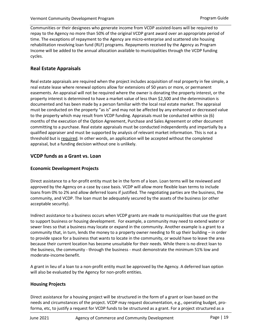Communities or their designees who generate income from VCDP assisted-loans will be required to repay to the Agency no more than 50% of the original VCDP grant award over an appropriate period of time. The exceptions of repayment to the Agency are micro-enterprise and scattered site housing rehabilitation revolving loan fund (RLF) programs. Repayments received by the Agency as Program Income will be added to the annual allocation available to municipalities through the VCDP funding cycles.

## <span id="page-21-0"></span>**Real Estate Appraisals**

Real estate appraisals are required when the project includes acquisition of real property in fee simple, a real estate lease where renewal options allow for extensions of 50 years or more, or permanent easements. An appraisal will not be required where the owner is donating the property interest, or the property interest is determined to have a market value of less than \$2,500 and the determination is documented and has been made by a person familiar with the local real estate market. The appraisal must be conducted on the property "as is" and may not be affected by any enhanced or decreased value to the property which may result from VCDP funding. Appraisals must be conducted within six (6) months of the execution of the Option Agreement, Purchase and Sales Agreement or other document committing to a purchase. Real estate appraisals must be conducted independently and impartially by a qualified appraiser and must be supported by analysis of relevant market information. This is not a threshold but is required. In other words, an application will be accepted without the completed appraisal, but a funding decision without one is unlikely.

## <span id="page-21-1"></span>**VCDP funds as a Grant vs. Loan**

## <span id="page-21-2"></span>**Economic Development Projects**

Direct assistance to a for-profit entity must be in the form of a loan. Loan terms will be reviewed and approved by the Agency on a case by case basis. VCDP will allow more flexible loan terms to include loans from 0% to 2% and allow deferred loans if justified. The negotiating parties are the business, the community, and VCDP. The loan must be adequately secured by the assets of the business (or other acceptable security).

Indirect assistance to a business occurs when VCDP grants are made to municipalities that use the grant to support business or housing development. For example, a community may need to extend water or sewer lines so that a business may locate or expand in the community. Another example is a grant to a community that, in turn, lends the money to a property owner needing to fit up their building – in order to provide space for a business that wants to locate in the community, or would have to leave the area because their current location has become unsuitable for their needs. While there is no direct loan to the business, the community - through the business - must demonstrate the minimum 51% low and moderate-income benefit.

A grant in lieu of a loan to a non-profit entity must be approved by the Agency. A deferred loan option will also be evaluated by the Agency for non-profit entities.

#### <span id="page-21-3"></span>**Housing Projects**

Direct assistance for a housing project will be structured in the form of a grant or loan based on the needs and circumstances of the project. VCDP may request documentation, e.g., operating budget, proforma, etc, to justify a request for VCDP funds to be structured as a grant. For a project structured as a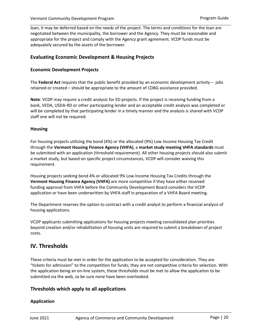loan, it may be deferred based on the needs of the project. The terms and conditions for the loan are negotiated between the municipality, the borrower and the Agency. They must be reasonable and appropriate for the project and comply with the Agency grant agreement. VCDP funds must be adequately secured by the assets of the borrower.

## <span id="page-22-0"></span>**Evaluating Economic Development & Housing Projects**

## <span id="page-22-1"></span>**Economic Development Projects**

The **[Federal](https://www.law.cornell.edu/uscode/text/42/5301) [Act](https://www.law.cornell.edu/uscode/text/42/5301)** requires that the public benefit provided by an economic development activity – jobs retained or created – should be appropriate to the amount of CDBG assistance provided.

**Note**: VCDP may require a credit analysis for ED projects. If the project is receiving funding from a bank, VEDA, USDA-RD or other participating lender and an acceptable credit analysis was completed or will be completed by that participating lender in a timely manner and the analysis is shared with VCDP staff one will not be required.

#### <span id="page-22-2"></span>**Housing**

For housing projects utilizing the bond (4%) or the allocated (9%) Low Income Housing Tax Credit through the **[Vermont Housing Finance Agency \(VHFA\)](https://www.vhfa.org/)**, a **[market study meeting VHFA standards](http://www.vhfa.org/documents/developers/market_study_standards.pdf)** must be submitted with an application (threshold requirement). All other housing projects should also submit a market study, but based on specific project circumstances, VCDP will consider waiving this requirement.

Housing projects seeking bond 4% or allocated 9% Low Income Housing Tax Credits through the **[Vermont Housing Finance Agency \(VHFA\)](https://www.vhfa.org/)** are more competitive if they have either received funding approval from VHFA before the Community Development Board considers the VCDP application or have been underwritten by VHFA staff in preparation of a VHFA Board meeting.

The Department reserves the option to contract with a credit analyst to perform a financial analysis of housing applications.

VCDP applicants submitting applications for housing projects meeting consolidated plan priorities beyond creation and/or rehabilitation of housing units are required to submit a breakdown of project costs.

## <span id="page-22-3"></span>**IV. Thresholds**

These criteria must be met in order for the application to be accepted for consideration. They are "tickets for admission" to the competition for funds; they are not competitive criteria for selection. With the application being an on-line system, these thresholds must be met to allow the application to be submitted via the web, so be sure none have been overlooked.

## <span id="page-22-4"></span>**Thresholds which apply to all applications**

#### <span id="page-22-5"></span>**Application**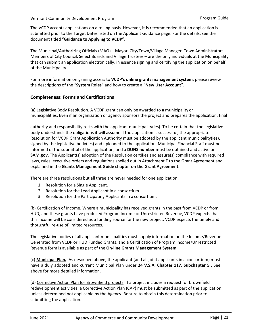The VCDP accepts applications on a rolling basis. However, it is recommended that an application is submitted prior to the Target Dates listed on the Applicant Guidance page. For the details, see the document titled "**[Guidance to Applying to VCDP](https://accd.vermont.gov/sites/accdnew/files/documents/CD-VCDP-Guidance%20on%20Applying.pdf)**".

The Municipal/Authorizing Officials (MAO) – Mayor, City/Town/Village Manager, Town Administrators, Members of City Council, Select Boards and Village Trustees – are the only individuals at the Municipality that can submit an application electronically, in essence signing and certifying the application on behalf of the Municipality.

For more information on gaining access to **[VCDP's online grants management system](https://egrants.vermont.gov/Login2.aspx?APPTHEME=VTACCD)**, please review the descriptions of the "**[System Roles](http://accd.vermont.gov/sites/accdnew/files/documents/CD-VCDP-SystemRoles.doc)**" and how to create a "**[New User Account](http://accd.vermont.gov/sites/accdnew/files/documents/CD-VCDP-NewUserAccount.doc)**".

## <span id="page-23-0"></span>**Completeness: Forms and Certifications**

(a) Legislative Body Resolution. A VCDP grant can only be awarded to a municipality or municipalities. Even if an organization or agency sponsors the project and prepares the application, final

authority and responsibility rests with the applicant municipality(ies). To be certain that the legislative body understands the obligations it will assume if the application is successful, the appropriate Resolution for VCDP Grant Application Authority must be adopted by the applicant municipality(ies), signed by the legislative body(ies) and uploaded to the application. Municipal Financial Staff must be informed of the submittal of the application, and a **DUNS number** must be obtained and active on **SAM.gov.** The Applicant(s) adoption of the Resolution certifies and assure(s) compliance with required laws, rules, executive orders and regulations spelled out in Attachment E to the Grant Agreement and explained in the **[Grants Management Guide](http://accd.vermont.gov/sites/accdnew/files/documents/CD-VCDP-GMG-GA-Chapter.pdf) [chapter on the Grant Agreement.](http://accd.vermont.gov/sites/accdnew/files/documents/CD-VCDP-GMG-GA-Chapter.pdf)**

There are three resolutions but all three are never needed for one application.

- 1. Resolution for a Single Applicant.
- 2. Resolution for the Lead Applicant in a consortium.
- 3. Resolution for the Participating Applicants in a consortium.

(b) Certification of Income. Where a municipality has received grants in the past from VCDP or from HUD, and these grants have produced Program Income or Unrestricted Revenue, VCDP expects that this income will be considered as a funding source for the new project. VCDP expects the timely and thoughtful re-use of limited resources.

The legislative bodies of all applicant municipalities must supply information on the Income/Revenue Generated from VCDP or HUD Funded Grants, and a Certification of Program Income/Unrestricted Revenue form is available as part of the **[On-line Grants Management System.](https://egrants.vermont.gov/)**

(c) **[Municipal Plan.](#page-14-1)** As described above, the applicant (and all joint applicants in a consortium) must have a duly adopted and current Municipal Plan under **[24 V.S.A. Chapter 117, Subchapter 5](http://legislature.vermont.gov/statutes/chapter/24/117)** . See above for more detailed information.

(d) Corrective Action Plan for Brownfield projects. If a project includes a request for brownfield redevelopment activities, a Corrective Action Plan (CAP) must be submitted as part of the application, unless determined not applicable by the Agency. Be sure to obtain this determination prior to submitting the application.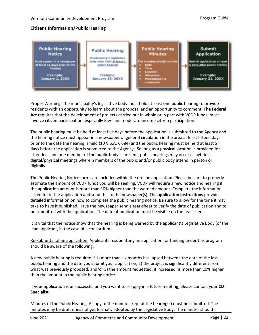## <span id="page-24-1"></span>**Citizens Information/Public Hearing**

<span id="page-24-0"></span>

Proper Warning. The municipality's legislative body must hold at least one public hearing to provide residents with an opportunity to learn about the proposal and an opportunity to comment. **[The Federal](https://www.law.cornell.edu/uscode/text/42/5301)  [Act](https://www.law.cornell.edu/uscode/text/42/5301)** requires that the development of projects carried out in whole or in part with VCDP funds, must involve citizen participation, especially low- and moderate-income citizen participation.

The public hearing must be held at least five days before the application is submitted to the Agency and the hearing notice must appear in a newspaper of general circulation in the area at least fifteen days prior to the date the hearing is held (10 V.S.A. § 684) and the public hearing must be held at least 5 days before the application is submitted to the Agency. So long as a physical location is provided for attendees and one member of the public body is present, public hearings may occur as hybrid digital/physical meetings wherein members of the public and/or public body attend in person or digitally.

The Public Hearing Notice forms are included within the on-line application. Please be sure to properly estimate the amount of VCDP funds you will be seeking. VCDP will require a new notice and hearing if the application amount is more than 10% higher than the warned amount. Complete the information called for in the application and send this to the newspaper(s). The **[application instructions](http://accd.vermont.gov/community-development/funding-incentives/vcdp/applicant-guidance)** provide detailed information on how to complete the public hearing notice. Be sure to allow for the time it may take to have it published. Have the newspaper send a tear-sheet to verify the date of publication and to be submitted with the application. The date of publication must be visible on the tear-sheet.

It is vital that the notice show that the hearing is being warned by the applicant's Legislative Body (of the lead applicant, in the case of a consortium).

Re-submittal of an application. Applicants resubmitting an application for funding under this program should be aware of the following:

A new public hearing is required if 1) more than six months has lapsed between the date of the last public hearing and the date you submit your application, 2) the project is significantly different from what was previously proposed, and/or 3) the amount requested, if increased, is more than 10% higher than the amount in the public hearing notice.

If your application is unsuccessful and you want to reapply in a future meeting, please contact your **[CD](#page-3-2) [Specialist](#page-3-2)**.

Minutes of the Public Hearing. A copy of the minutes kept at the hearing(s) must be submitted. The minutes may be draft ones not yet formally adopted by the Legislative Body. The minutes should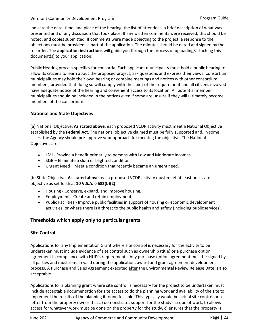indicate the date, time, and place of the hearing, the list of attendees, a brief description of what was presented and of any discussion that took place. If any written comments were received, this should be noted, and copies submitted. If comments were made objecting to the project, a response to the objections must be provided as part of the application. The minutes should be dated and signed by the recorder. The **[application instructions](http://accd.vermont.gov/community-development/funding-incentives/vcdp/applicant-guidance)** will guide you through the process of uploading/attaching this document(s) to your application.

Public Hearing process specifics for consortia. Each applicant municipality must hold a public hearing to allow its citizens to learn about the proposed project, ask questions and express their views. Consortium municipalities may hold their own hearing or combine meetings and notices with other consortium members, provided that doing so will comply with the spirit of the requirement and all citizens involved have adequate notice of the hearing and convenient access to its location. All potential member municipalities should be included in the notices even if some are unsure if they will ultimately become members of the consortium.

## <span id="page-25-0"></span>**National and State Objectives**

(a) National Objective. **[As stated above](#page-15-5)**, each proposed VCDP activity must meet a National Objective established by the **[Federal Act](https://www.law.cornell.edu/uscode/text/42/5301)**. The national objective claimed must be fully supported and, in some cases, the Agency should pre-approve your approach for meeting the objective. The National Objectives are:

- LMI Provide a benefit primarily to persons with Low and Moderate Incomes.
- S&B Eliminate a slum or blighted condition.
- Urgent Need Meet a condition that recently became an urgent need.

(b) State Objective. **[As stated above](#page-17-1)**, each proposed VCDP activity must meet at least one state objective as set forth at **[10 V.S.A. §](http://legislature.vermont.gov/statutes/section/10/029/00682) 682(b)(2)**:

- Housing Conserve, expand, and improve housing.
- Employment Create and retain employment.
- Public Facilities Improve public facilities in support of housing or economic development activities, or where there is a threat to the public health and safety (including publicservices).

## <span id="page-25-1"></span>**Thresholds which apply only to particular grants**

#### <span id="page-25-2"></span>**Site Control**

Applications for any Implementation Grant where site control is necessary for the activity to be undertaken must include evidence of site control such as ownership (title) or a purchase option agreement in compliance with HUD's requirements. Any purchase option agreement must be signed by all parties and must remain valid during the application, award and grant agreement development process. A Purchase and Sales Agreement executed after the Environmental Review Release Date is also acceptable.

Applications for a planning grant where site control is necessary for the project to be undertaken must include acceptable documentation for site access to do the planning work and availability of the site to implement the results of the planning if found feasible. This typically would be actual site control or a letter from the property owner that a) demonstrates support for the study's scope of work, b) allows access for whatever work must be done on the property for the study, c) ensures that the property is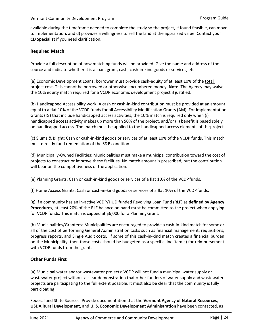available during the timeframe needed to complete the study so the project, if found feasible, can move to implementation, and d) provides a willingness to sell the land at the appraised value. Contact your **[CD Specialist](#page-3-2)** if you need clarification.

#### <span id="page-26-0"></span>**Required Match**

Provide a full description of how matching funds will be provided. Give the name and address of the source and indicate whether it is a loan, grant, cash, cash-in-kind goods or services, etc.

(a) Economic Development Loans: borrower must provide cash-equity of at least 10% of the total project cost. This cannot be borrowed or otherwise encumbered money. **Note**: The Agency may waive the 10% equity match required for a VCDP economic development project if justified.

(b) Handicapped Accessibility work: A cash or cash-in-kind contribution must be provided at an amount equal to a flat 10% of the VCDP funds for all Accessibility Modification Grants (AM). For Implementation Grants (IG) that include handicapped access activities, the 10% match is required only when (i) handicapped access activity makes up more than 50% of the project, and/or (ii) benefit is based solely on handicapped access. The match must be applied to the handicapped access elements of theproject.

(c) Slums & Blight: Cash or cash-in-kind goods or services of at least 10% of the VCDP funds. This match must directly fund remediation of the S&B condition.

(d) Municipally-Owned Facilities: Municipalities must make a municipal contribution toward the cost of projects to construct or improve these facilities. No match amount is prescribed, but the contribution will bear on the competitiveness of the application.

(e) Planning Grants: Cash or cash-in-kind goods or services of a flat 10% of the VCDPfunds.

(f) Home Access Grants: Cash or cash-in-kind goods or services of a flat 10% of the VCDPfunds.

(g) If a community has an in-active VCDP/HUD funded Revolving Loan Fund (RLF) as **[defined by Agency](#page-19-4) [Procedures,](#page-19-4)** at least 20% of the RLF balance on hand must be committed to the project when applying for VCDP funds. This match is capped at \$6,000 for a Planning Grant.

(h) Municipalities/Grantees: Municipalities are encouraged to provide a cash-in-kind match for some or all of the cost of performing General Administration tasks such as financial management, requisitions, progress reports, and Single Audit costs. If some of this cash-in-kind match creates a financial burden on the Municipality, then those costs should be budgeted as a specific line item(s) for reimbursement with VCDP funds from the grant.

#### <span id="page-26-1"></span>**Other Funds First**

(a) Municipal water and/or wastewater projects: VCDP will not fund a municipal water supply or wastewater project without a clear demonstration that other funders of water supply and wastewater projects are participating to the full extent possible. It must also be clear that the community is fully participating.

Federal and State Sources: Provide documentation that the **[Vermont Agency of Natural Resources](http://anr.vermont.gov/)**, **[USDA Rural Development](https://www.rd.usda.gov/vt)**, and **[U. S. Economic Development Administration](https://www.eda.gov/)** have been contacted, as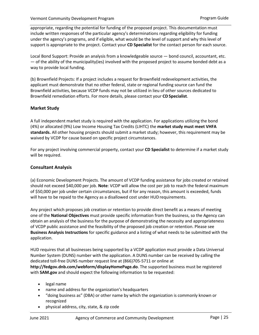appropriate, regarding the potential for funding of the proposed project. This documentation must include written responses of the particular agency's determinations regarding eligibility for funding under the agency's programs, and if eligible, what would be the level of support and why this level of support is appropriate to the project. Contact your **[CD Specialist](#page-3-2)** for the contact person for each source.

Local Bond Support: Provide an analysis from a knowledgeable source — bond council, accountant, etc. — of the ability of the municipality(ies) involved with the proposed project to assume bonded debt as a way to provide local funding.

(b) Brownfield Projects: If a project includes a request for Brownfield redevelopment activities, the applicant must demonstrate that no other federal, state or regional funding source can fund the Brownfield activities, because VCDP funds may not be utilized in lieu of other sources dedicated to Brownfield remediation efforts. For more details, please contact your **CD [Specialist](#page-3-2)**.

## <span id="page-27-0"></span>**Market Study**

A full independent market study is required with the application. For applications utilizing the bond (4%) or allocated (9%) Low Income Housing Tax Credits (LIHTC) the **[market study must meet VH](http://www.vhfa.org/documents/developers/market_study_standards.pdf)FA standards.** All other housing projects should submit a market study; however, this requirement may be waived by VCDP for cause based on specific project circumstances.

For any project involving commercial property, contact your **[CD Specialist](#page-3-2)** to determine if a market study will be required.

### <span id="page-27-1"></span>**Consultant Analysis**

(a) Economic Development Projects. The amount of VCDP funding assistance for jobs created or retained should not exceed \$40,000 per job. **Note**: VCDP will allow the cost per job to reach the federal maximum of \$50,000 per job under certain circumstances, but if for any reason, this amount is exceeded, funds will have to be repaid to the Agency as a disallowed cost under HUD requirements.

Any project which proposes job creation or retention to provide direct benefit as a means of meeting one of the **National Objectives** must provide specific information from the business, so the Agency can obtain an analysis of the business for the purpose of demonstrating the necessity and appropriateness of VCDP public assistance and the feasibility of the proposed job creation or retention. Please see **[Business Analysis Instructions](http://accd.vermont.gov/sites/accdnew/files/documents/CD-VCDP-Business-Analysis-Instructions-2016.pdf)** for specific guidance and a listing of what needs to be submitted with the application.

HUD requires that all businesses being supported by a VCDP application must provide a Data Universal Number System (DUNS) number with the application. A DUNS number can be received by calling the dedicated toll-free DUNS number request line at (866)705-5711 or online at **<http://fedgov.dnb.com/webform/displayHomePage.do>**. The supported business must be registered with **[SAM.gov](https://www.sam.gov/SAM/)** and should expect the following information to be requested:

- legal name
- name and address for the organization's headquarters
- "doing business as" (DBA) or other name by which the organization is commonly known or recognized
- physical address, city, state, & zip code